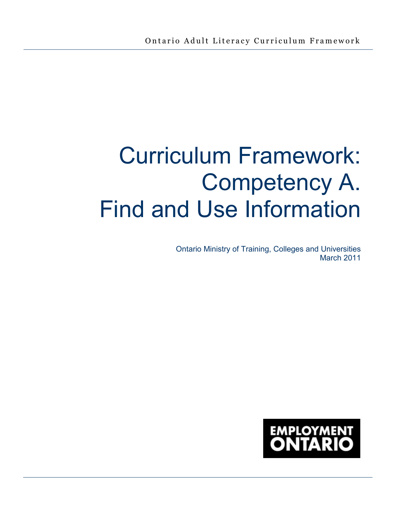# Curriculum Framework: Competency A. Find and Use Information

Ontario Ministry of Training, Colleges and Universities March 2011

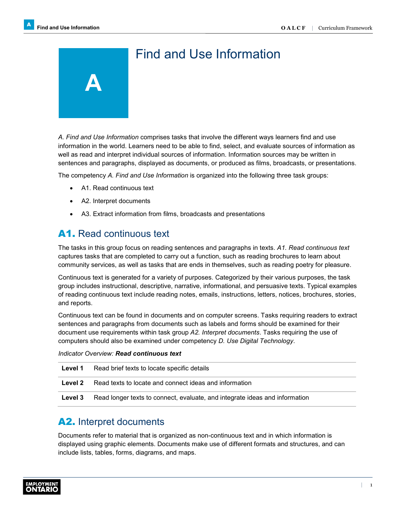# Find and Use Information

*A. Find and Use Information* comprises tasks that involve the different ways learners find and use information in the world. Learners need to be able to find, select, and evaluate sources of information as well as read and interpret individual sources of information. Information sources may be written in sentences and paragraphs, displayed as documents, or produced as films, broadcasts, or presentations.

The competency *A. Find and Use Information* is organized into the following three task groups:

• A1. Read continuous text

**A** 

- A2. Interpret documents
- A3. Extract information from films, broadcasts and presentations

### A1. Read continuous text

The tasks in this group focus on reading sentences and paragraphs in texts. *A1. Read continuous text* captures tasks that are completed to carry out a function, such as reading brochures to learn about community services, as well as tasks that are ends in themselves, such as reading poetry for pleasure.

Continuous text is generated for a variety of purposes. Categorized by their various purposes, the task group includes instructional, descriptive, narrative, informational, and persuasive texts. Typical examples of reading continuous text include reading notes, emails, instructions, letters, notices, brochures, stories, and reports.

Continuous text can be found in documents and on computer screens. Tasks requiring readers to extract sentences and paragraphs from documents such as labels and forms should be examined for their document use requirements within task group *A2. Interpret documents*. Tasks requiring the use of computers should also be examined under competency *D. Use Digital Technology*.

*Indicator Overview: Read continuous text* 

| Level 1 | Read brief texts to locate specific details                                 |
|---------|-----------------------------------------------------------------------------|
| Level 2 | Read texts to locate and connect ideas and information                      |
| Level 3 | Read longer texts to connect, evaluate, and integrate ideas and information |

### A2. Interpret documents

Documents refer to material that is organized as non-continuous text and in which information is displayed using graphic elements. Documents make use of different formats and structures, and can include lists, tables, forms, diagrams, and maps.

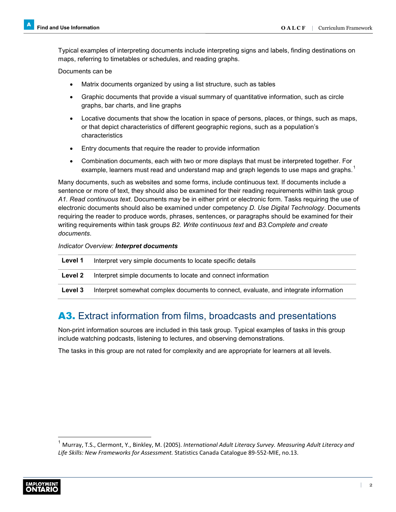Typical examples of interpreting documents include interpreting signs and labels, finding destinations on maps, referring to timetables or schedules, and reading graphs.

Documents can be

- Matrix documents organized by using a list structure, such as tables
- Graphic documents that provide a visual summary of quantitative information, such as circle graphs, bar charts, and line graphs
- Locative documents that show the location in space of persons, places, or things, such as maps, or that depict characteristics of different geographic regions, such as a population's characteristics
- Entry documents that require the reader to provide information
- Combination documents, each with two or more displays that must be interpreted together. For example, learners must read and understand map and graph legends to use maps and graphs.<sup>1</sup>

Many documents, such as websites and some forms, include continuous text. If documents include a sentence or more of text, they should also be examined for their reading requirements within task group *A1. Read continuous text*. Documents may be in either print or electronic form. Tasks requiring the use of electronic documents should also be examined under competency *D. Use Digital Technology*. Documents requiring the reader to produce words, phrases, sentences, or paragraphs should be examined for their writing requirements within task groups *B2. Write continuous text* and *B3.Complete and create documents*.

#### *Indicator Overview: Interpret documents*

| Level 1 | Interpret very simple documents to locate specific details                           |
|---------|--------------------------------------------------------------------------------------|
| Level 2 | Interpret simple documents to locate and connect information                         |
| Level 3 | Interpret somewhat complex documents to connect, evaluate, and integrate information |

## A3. Extract information from films, broadcasts and presentations

Non-print information sources are included in this task group. Typical examples of tasks in this group include watching podcasts, listening to lectures, and observing demonstrations.

The tasks in this group are not rated for complexity and are appropriate for learners at all levels.

<sup>1</sup> Murray, T.S., Clermont, Y., Binkley, M. (2005). *International Adult Literacy Survey. Measuring Adult Literacy and Life Skills: New Frameworks for Assessment.* Statistics Canada Catalogue 89-552-MIE, no.13.

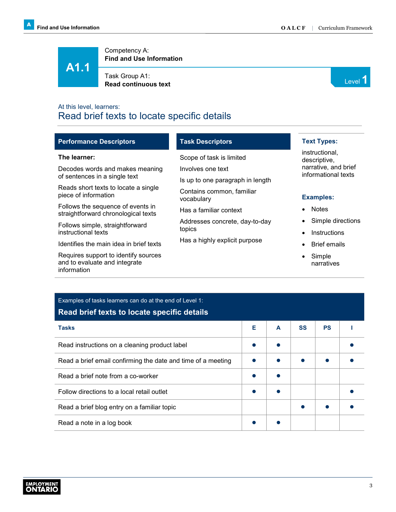**A1.1**

information

Competency A: **Find and Use Information**

Task Group A1: **Read continuous text** Level **1 Read continuous text** 

### At this level, learners: Read brief texts to locate specific details

| <b>Performance Descriptors</b>                                           | <b>Task Descriptors</b>                 | <b>Text Types:</b>             |
|--------------------------------------------------------------------------|-----------------------------------------|--------------------------------|
| The learner:                                                             | Scope of task is limited                | instructional,<br>descriptive, |
| Decodes words and makes meaning                                          | Involves one text                       | narrative, and brief           |
| of sentences in a single text                                            | Is up to one paragraph in length        | informational texts            |
| Reads short texts to locate a single<br>piece of information             | Contains common, familiar<br>vocabulary | <b>Examples:</b>               |
| Follows the sequence of events in<br>straightforward chronological texts | Has a familiar context                  | <b>Notes</b>                   |
| Follows simple, straightforward                                          | Addresses concrete, day-to-day          | Simple directions              |
| instructional texts                                                      | topics                                  | Instructions                   |
| Identifies the main idea in brief texts                                  | Has a highly explicit purpose           | <b>Brief emails</b>            |
| Requires support to identify sources<br>and to evaluate and integrate    |                                         | Simple<br>narratives           |

| Examples of tasks learners can do at the end of Level 1:<br>Read brief texts to locate specific details |   |   |           |           |  |
|---------------------------------------------------------------------------------------------------------|---|---|-----------|-----------|--|
| <b>Tasks</b>                                                                                            | Е | A | <b>SS</b> | <b>PS</b> |  |
| Read instructions on a cleaning product label                                                           |   |   |           |           |  |
| Read a brief email confirming the date and time of a meeting                                            |   |   |           |           |  |
| Read a brief note from a co-worker                                                                      |   |   |           |           |  |
| Follow directions to a local retail outlet                                                              |   |   |           |           |  |
| Read a brief blog entry on a familiar topic                                                             |   |   |           |           |  |
| Read a note in a log book                                                                               |   |   |           |           |  |



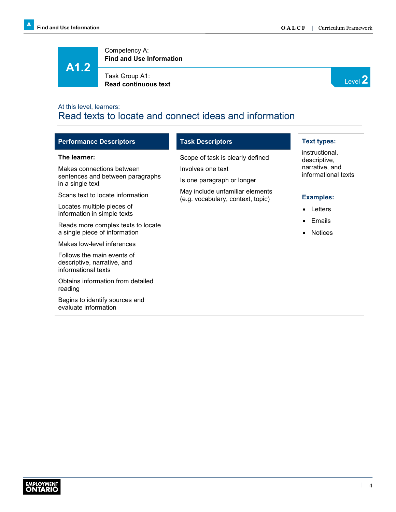**A1.2**

Competency A: **Find and Use Information**

Task Group A1: **Read continuous text** Level **2 Read continuous text** 



### At this level, learners: Read texts to locate and connect ideas and information

| <b>Performance Descriptors</b>                                                   | <b>Task Descriptors</b>                                              | <b>Text types:</b>                    |
|----------------------------------------------------------------------------------|----------------------------------------------------------------------|---------------------------------------|
| The learner:                                                                     | Scope of task is clearly defined                                     | instructional,<br>descriptive,        |
| Makes connections between                                                        | Involves one text                                                    | narrative, and<br>informational texts |
| sentences and between paragraphs<br>in a single text                             | Is one paragraph or longer                                           |                                       |
| Scans text to locate information                                                 | May include unfamiliar elements<br>(e.g. vocabulary, context, topic) | <b>Examples:</b>                      |
| Locates multiple pieces of<br>information in simple texts                        |                                                                      | Letters<br>$\bullet$                  |
| Reads more complex texts to locate                                               |                                                                      | Emails<br>$\bullet$                   |
| a single piece of information                                                    |                                                                      | <b>Notices</b><br>٠                   |
| Makes low-level inferences                                                       |                                                                      |                                       |
| Follows the main events of<br>descriptive, narrative, and<br>informational texts |                                                                      |                                       |
| Obtains information from detailed<br>reading                                     |                                                                      |                                       |
| Begins to identify sources and<br>evaluate information                           |                                                                      |                                       |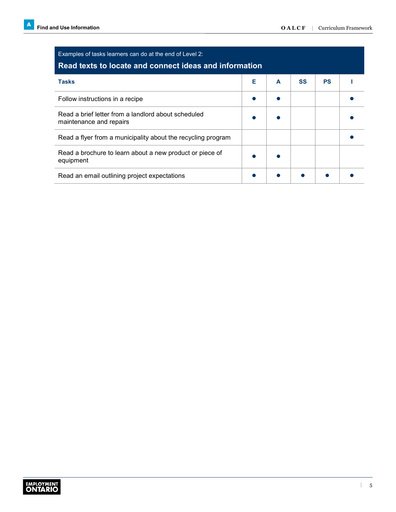| Examples of tasks learners can do at the end of Level 2:<br>Read texts to locate and connect ideas and information |   |   |           |           |  |
|--------------------------------------------------------------------------------------------------------------------|---|---|-----------|-----------|--|
| <b>Tasks</b>                                                                                                       | Е | A | <b>SS</b> | <b>PS</b> |  |
| Follow instructions in a recipe                                                                                    |   |   |           |           |  |
| Read a brief letter from a landlord about scheduled<br>maintenance and repairs                                     |   |   |           |           |  |
| Read a flyer from a municipality about the recycling program                                                       |   |   |           |           |  |
| Read a brochure to learn about a new product or piece of<br>equipment                                              |   |   |           |           |  |
| Read an email outlining project expectations                                                                       |   |   |           |           |  |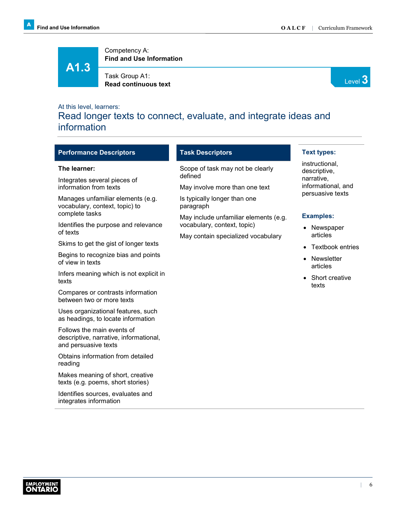# **A1.3**

Competency A: **Find and Use Information**

Task Group A1: **Read continuous text** Level 3<sup>2</sup>



### At this level, learners:

Read longer texts to connect, evaluate, and integrate ideas and information

| <b>Performance Descriptors</b>                                                               | <b>Task Descriptors</b>                                              |                                              |         |  |
|----------------------------------------------------------------------------------------------|----------------------------------------------------------------------|----------------------------------------------|---------|--|
| The learner:                                                                                 | Scope of task may not be clearly                                     | instructional,<br>descriptive,<br>narrative, |         |  |
| Integrates several pieces of<br>information from texts                                       | May involve more than one text                                       |                                              | defined |  |
| Manages unfamiliar elements (e.g.<br>vocabulary, context, topic) to                          | Is typically longer than one<br>paragraph                            | persuasive texts                             |         |  |
| complete tasks                                                                               | May include unfamiliar elements (e.g.<br>vocabulary, context, topic) | <b>Examples:</b>                             |         |  |
| Identifies the purpose and relevance<br>of texts                                             | May contain specialized vocabulary                                   | Newspaper<br>articles                        |         |  |
| Skims to get the gist of longer texts                                                        |                                                                      | <b>Textbook entries</b><br>$\bullet$         |         |  |
| Begins to recognize bias and points<br>of view in texts                                      |                                                                      | Newsletter<br>$\bullet$<br>articles          |         |  |
| Infers meaning which is not explicit in<br>texts                                             |                                                                      | Short creative<br>$\bullet$<br>texts         |         |  |
| Compares or contrasts information<br>between two or more texts                               |                                                                      |                                              |         |  |
| Uses organizational features, such<br>as headings, to locate information                     |                                                                      |                                              |         |  |
| Follows the main events of<br>descriptive, narrative, informational,<br>and persuasive texts |                                                                      |                                              |         |  |
| Obtains information from detailed<br>reading                                                 |                                                                      |                                              |         |  |
| Makes meaning of short, creative<br>texts (e.g. poems, short stories)                        |                                                                      |                                              |         |  |

Identifies sources, evaluates and integrates information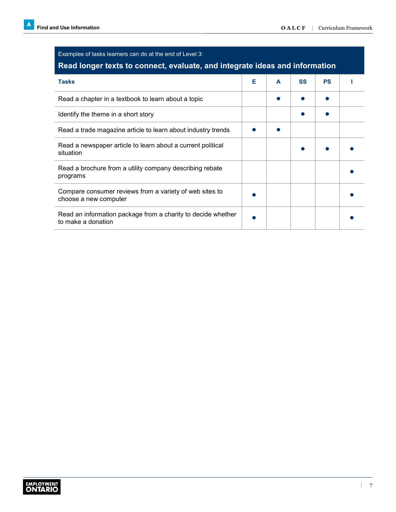| Examples of tasks learners can do at the end of Level 3:<br>Read longer texts to connect, evaluate, and integrate ideas and information |   |   |           |           |  |
|-----------------------------------------------------------------------------------------------------------------------------------------|---|---|-----------|-----------|--|
| <b>Tasks</b>                                                                                                                            | Е | A | <b>SS</b> | <b>PS</b> |  |
| Read a chapter in a textbook to learn about a topic                                                                                     |   |   |           |           |  |
| Identify the theme in a short story                                                                                                     |   |   |           |           |  |
| Read a trade magazine article to learn about industry trends                                                                            |   |   |           |           |  |
| Read a newspaper article to learn about a current political<br>situation                                                                |   |   |           |           |  |
| Read a brochure from a utility company describing rebate<br>programs                                                                    |   |   |           |           |  |
| Compare consumer reviews from a variety of web sites to<br>choose a new computer                                                        |   |   |           |           |  |
| Read an information package from a charity to decide whether<br>to make a donation                                                      |   |   |           |           |  |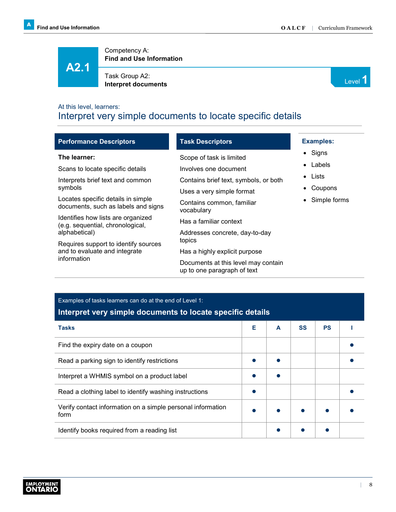**A2.1**

Competency A: **Find and Use Information**

Task Group A2: **Interpret documents** Level **1 Interpret documents** 



### At this level, learners: Interpret very simple documents to locate specific details

| <b>Performance Descriptors</b>                                            | <b>Task Descriptors</b>                                            |  |
|---------------------------------------------------------------------------|--------------------------------------------------------------------|--|
| The learner:                                                              | Scope of task is limited                                           |  |
| Scans to locate specific details                                          | Involves one document                                              |  |
| Interprets brief text and common                                          | Contains brief text, symbols, or both                              |  |
| symbols                                                                   | Uses a very simple format                                          |  |
| Locates specific details in simple<br>documents, such as labels and signs | Contains common, familiar<br>vocabulary                            |  |
| Identifies how lists are organized<br>(e.g. sequential, chronological,    | Has a familiar context                                             |  |
| alphabetical)                                                             | Addresses concrete, day-to-day                                     |  |
| Requires support to identify sources                                      | topics                                                             |  |
| and to evaluate and integrate<br>information                              | Has a highly explicit purpose                                      |  |
|                                                                           | Documents at this level may contain<br>up to one paragraph of text |  |

### Examples of tasks learners can do at the end of Level 1: **Interpret very simple documents to locate specific details**

| <b>Tasks</b>                                                        | Е | A | <b>SS</b> | <b>PS</b> |  |
|---------------------------------------------------------------------|---|---|-----------|-----------|--|
| Find the expiry date on a coupon                                    |   |   |           |           |  |
| Read a parking sign to identify restrictions                        |   |   |           |           |  |
| Interpret a WHMIS symbol on a product label                         |   |   |           |           |  |
| Read a clothing label to identify washing instructions              |   |   |           |           |  |
| Verify contact information on a simple personal information<br>form |   |   |           |           |  |
| Identify books required from a reading list                         |   |   |           |           |  |
|                                                                     |   |   |           |           |  |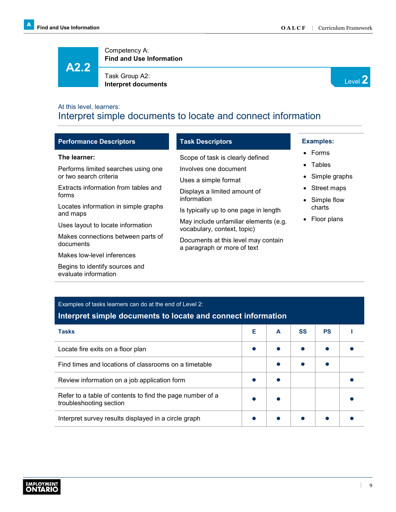**A2.2**

evaluate information

Competency A: **Find and Use Information**

Task Group A2: **Interpret documents**<br> **Interpret documents** 



### At this level, learners: Interpret simple documents to locate and connect information

| <b>Performance Descriptors</b>                   | <b>Task Descriptors</b>                                            | <b>Examples:</b>           |
|--------------------------------------------------|--------------------------------------------------------------------|----------------------------|
| The learner:                                     | Scope of task is clearly defined                                   | $\bullet$ Forms            |
| Performs limited searches using one              | Involves one document                                              | Tables<br>$\bullet$        |
| or two search criteria                           | Uses a simple format                                               | Simple graphs<br>$\bullet$ |
| Extracts information from tables and             | Displays a limited amount of                                       | Street maps<br>$\bullet$   |
| forms                                            | information                                                        | Simple flow<br>$\bullet$   |
| Locates information in simple graphs<br>and maps | Is typically up to one page in length                              | charts                     |
|                                                  | May include unfamiliar elements (e.g.                              | Floor plans<br>$\bullet$   |
| Uses layout to locate information                | vocabulary, context, topic)                                        |                            |
| Makes connections between parts of<br>documents  | Documents at this level may contain<br>a paragraph or more of text |                            |
| Makes low-level inferences                       |                                                                    |                            |
| Begins to identify sources and                   |                                                                    |                            |

| Examples of tasks learners can do at the end of Level 2:<br>Interpret simple documents to locate and connect information |   |   |           |           |  |
|--------------------------------------------------------------------------------------------------------------------------|---|---|-----------|-----------|--|
| <b>Tasks</b>                                                                                                             | Е | A | <b>SS</b> | <b>PS</b> |  |
| Locate fire exits on a floor plan                                                                                        |   |   |           |           |  |
| Find times and locations of classrooms on a timetable                                                                    |   |   |           |           |  |
| Review information on a job application form                                                                             |   |   |           |           |  |
| Refer to a table of contents to find the page number of a<br>troubleshooting section                                     |   |   |           |           |  |
| Interpret survey results displayed in a circle graph                                                                     |   |   |           |           |  |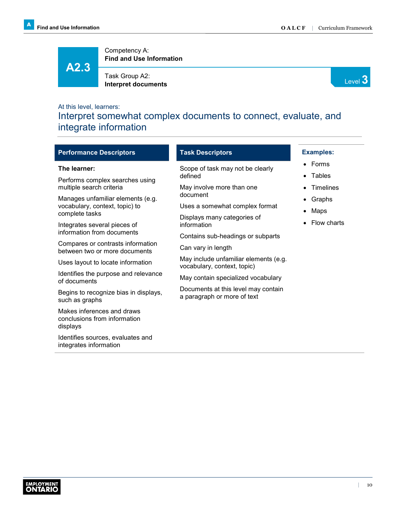**A2.3**

Competency A: **Find and Use Information**

Task Group A2: Interpret documents **Interpret documents** 



### At this level, learners:

Interpret somewhat complex documents to connect, evaluate, and integrate information

| <b>Performance Descriptors</b>                                                                                 | <b>Task Descriptors</b>                                            | <b>Examples:</b>                          |  |  |  |
|----------------------------------------------------------------------------------------------------------------|--------------------------------------------------------------------|-------------------------------------------|--|--|--|
| The learner:<br>Performs complex searches using                                                                | Scope of task may not be clearly<br>defined                        | Forms<br>$\bullet$<br>Tables<br>$\bullet$ |  |  |  |
| multiple search criteria<br>Manages unfamiliar elements (e.g.                                                  | May involve more than one<br>document                              | <b>Timelines</b><br>Graphs<br>$\bullet$   |  |  |  |
| vocabulary, context, topic) to<br>complete tasks<br>Integrates several pieces of<br>information from documents | Uses a somewhat complex format<br>Displays many categories of      | Maps                                      |  |  |  |
|                                                                                                                | information<br>Contains sub-headings or subparts                   | Flow charts                               |  |  |  |
| Compares or contrasts information<br>between two or more documents                                             | Can vary in length<br>May include unfamiliar elements (e.g.        |                                           |  |  |  |
| Uses layout to locate information<br>Identifies the purpose and relevance                                      | vocabulary, context, topic)<br>May contain specialized vocabulary  |                                           |  |  |  |
| of documents<br>Begins to recognize bias in displays,<br>such as graphs                                        | Documents at this level may contain<br>a paragraph or more of text |                                           |  |  |  |
| Makes inferences and draws<br>conclusions from information<br>displays                                         |                                                                    |                                           |  |  |  |
| Identifies sources, evaluates and<br>integrates information                                                    |                                                                    |                                           |  |  |  |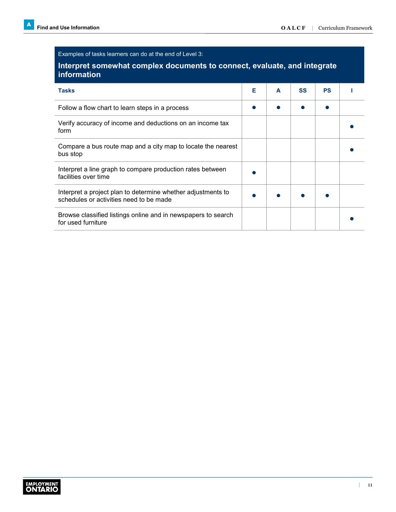| Examples of tasks learners can do at the end of Level 3:                                                |   |   |           |           |  |  |
|---------------------------------------------------------------------------------------------------------|---|---|-----------|-----------|--|--|
| Interpret somewhat complex documents to connect, evaluate, and integrate<br>information                 |   |   |           |           |  |  |
| <b>Tasks</b>                                                                                            | Е | A | <b>SS</b> | <b>PS</b> |  |  |
| Follow a flow chart to learn steps in a process                                                         |   |   |           |           |  |  |
| Verify accuracy of income and deductions on an income tax<br>form                                       |   |   |           |           |  |  |
| Compare a bus route map and a city map to locate the nearest<br>bus stop                                |   |   |           |           |  |  |
| Interpret a line graph to compare production rates between<br>facilities over time                      |   |   |           |           |  |  |
| Interpret a project plan to determine whether adjustments to<br>schedules or activities need to be made |   |   |           |           |  |  |
| Browse classified listings online and in newspapers to search<br>for used furniture                     |   |   |           |           |  |  |